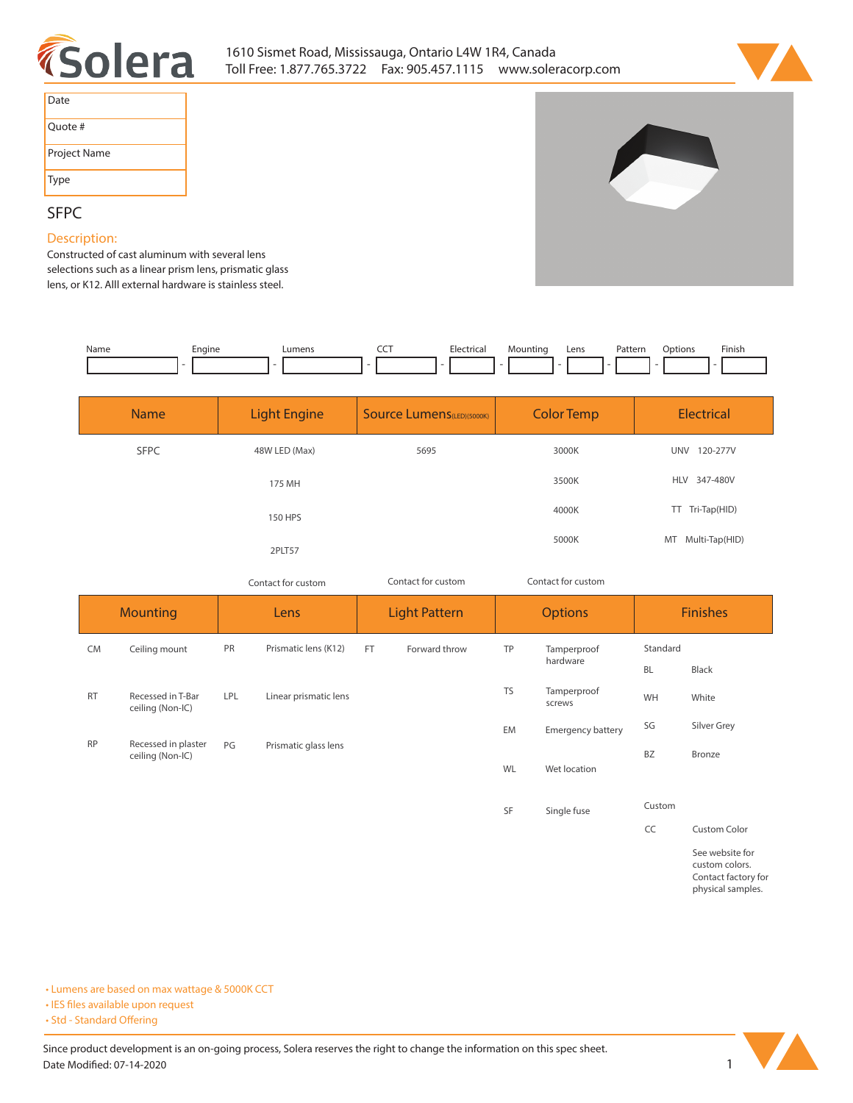



| Date         |
|--------------|
| Quote #      |
| Project Name |
| Type         |

**SFPC** 

**Description: Constructed of cast aluminum with several lens selections such as a linear prism lens, prismatic glass lens, or K12. Alll external hardware is stainless steel.** 

| Name | Enaine | umen. | ---<br>$ -$ | $E$ ectricial<br>. | Lens | Pattern<br>. | Jotions<br>. | Finish |
|------|--------|-------|-------------|--------------------|------|--------------|--------------|--------|
|      |        |       |             |                    |      |              |              |        |

| <b>Name</b> | <b>Light Engine</b> | <b>Source Lumens</b> (LED)(5000K)<br><b>Color Temp</b> |       | <b>Electrical</b>      |
|-------------|---------------------|--------------------------------------------------------|-------|------------------------|
| <b>SFPC</b> | 48W LED (Max)       | 5695                                                   | 3000K | 120-277V<br><b>UNV</b> |
|             | 175 MH              |                                                        | 3500K | HLV 347-480V           |
|             | 150 HPS             |                                                        | 4000K | TT Tri-Tap(HID)        |
|             | 2PLT57              |                                                        | 5000K | MT Multi-Tap(HID)      |

*Contact for custom Contact for custom*

| Contact for custom |  |
|--------------------|--|
|                    |  |

|           | <b>Mounting</b>                         |            | Lens                  |           | <b>Light Pattern</b> |              | <b>Options</b>           |           | <b>Finishes</b> |          |  |
|-----------|-----------------------------------------|------------|-----------------------|-----------|----------------------|--------------|--------------------------|-----------|-----------------|----------|--|
| <b>CM</b> | Ceiling mount                           | <b>PR</b>  | Prismatic lens (K12)  | <b>FT</b> | Forward throw        | TP           |                          |           | Tamperproof     | Standard |  |
|           |                                         |            |                       |           |                      |              | hardware                 | <b>BL</b> | Black           |          |  |
| <b>RT</b> | Recessed in T-Bar<br>ceiling (Non-IC)   | <b>LPL</b> | Linear prismatic lens |           |                      | <b>TS</b>    | Tamperproof<br>screws    | WH        | White           |          |  |
|           |                                         |            |                       |           |                      | EM           | <b>Emergency battery</b> | SG        | Silver Grey     |          |  |
| <b>RP</b> | Recessed in plaster<br>ceiling (Non-IC) | PG         | Prismatic glass lens  |           | WL                   | Wet location | <b>BZ</b>                | Bronze    |                 |          |  |
|           |                                         |            |                       |           |                      | SF           | Single fuse              | Custom    |                 |          |  |

**CC Custom Color See website for custom colors.** 

**Contact factory for physical samples.** 

**• Lumens are based on max wattage & 5000K CCT**

**• IES files available upon request** 

• Std - Standard Offering

Since product development is an on-going process, Solera reserves the right to change the information on this spec sheet. **Date Modified: 07-14-2020** 1